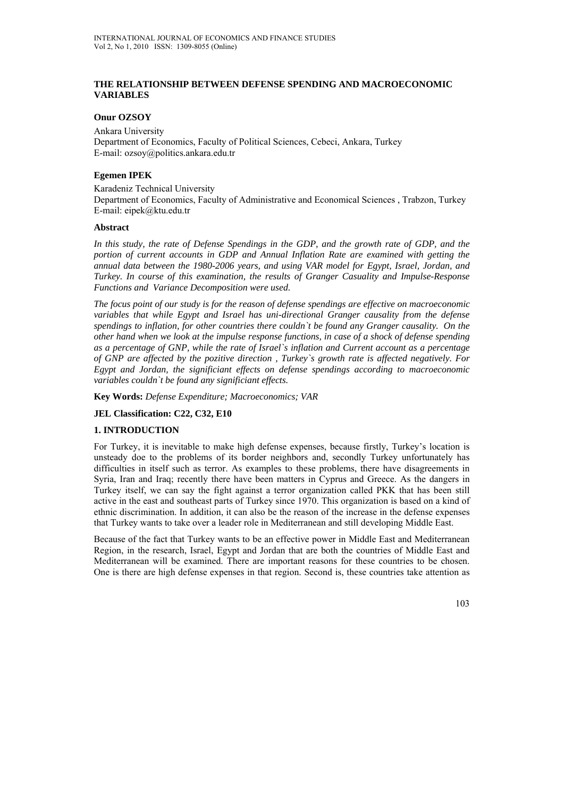## **THE RELATIONSHIP BETWEEN DEFENSE SPENDING AND MACROECONOMIC VARIABLES**

### **Onur OZSOY**

Ankara University Department of Economics, Faculty of Political Sciences, Cebeci, Ankara, Turkey E-mail: ozsoy@politics.ankara.edu.tr

### **Egemen IPEK**

Karadeniz Technical University Department of Economics, Faculty of Administrative and Economical Sciences , Trabzon, Turkey E-mail: eipek@ktu.edu.tr

#### **Abstract**

In this study, the rate of Defense Spendings in the GDP, and the growth rate of GDP, and the *portion of current accounts in GDP and Annual Inflation Rate are examined with getting the annual data between the 1980-2006 years, and using VAR model for Egypt, Israel, Jordan, and Turkey. In course of this examination, the results of Granger Casuality and Impulse-Response Functions and Variance Decomposition were used.* 

*The focus point of our study is for the reason of defense spendings are effective on macroeconomic variables that while Egypt and Israel has uni-directional Granger causality from the defense spendings to inflation, for other countries there couldn`t be found any Granger causality. On the other hand when we look at the impulse response functions, in case of a shock of defense spending as a percentage of GNP, while the rate of Israel`s inflation and Current account as a percentage of GNP are affected by the pozitive direction , Turkey`s growth rate is affected negatively. For Egypt and Jordan, the significiant effects on defense spendings according to macroeconomic variables couldn`t be found any significiant effects.* 

**Key Words:** *Defense Expenditure; Macroeconomics; VAR*

## **JEL Classification: C22, C32, E10**

#### **1. INTRODUCTION**

For Turkey, it is inevitable to make high defense expenses, because firstly, Turkey's location is unsteady doe to the problems of its border neighbors and, secondly Turkey unfortunately has difficulties in itself such as terror. As examples to these problems, there have disagreements in Syria, Iran and Iraq; recently there have been matters in Cyprus and Greece. As the dangers in Turkey itself, we can say the fight against a terror organization called PKK that has been still active in the east and southeast parts of Turkey since 1970. This organization is based on a kind of ethnic discrimination. In addition, it can also be the reason of the increase in the defense expenses that Turkey wants to take over a leader role in Mediterranean and still developing Middle East.

Because of the fact that Turkey wants to be an effective power in Middle East and Mediterranean Region, in the research, Israel, Egypt and Jordan that are both the countries of Middle East and Mediterranean will be examined. There are important reasons for these countries to be chosen. One is there are high defense expenses in that region. Second is, these countries take attention as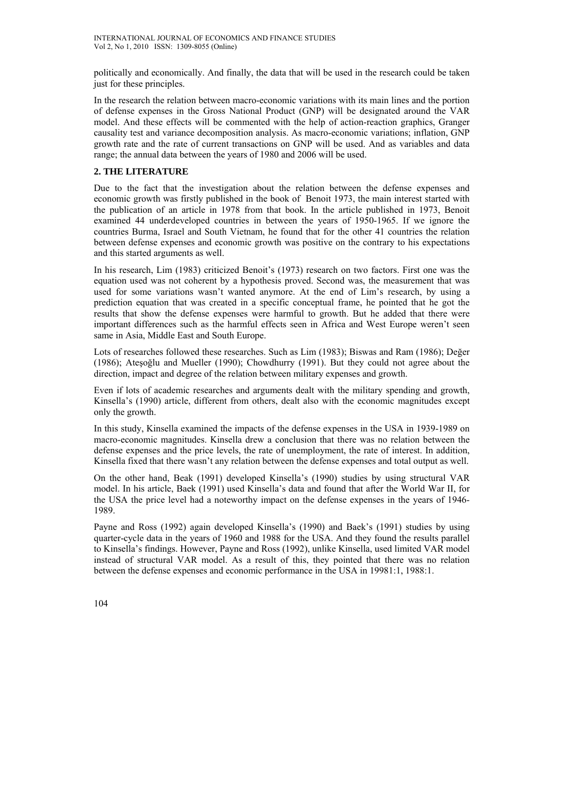politically and economically. And finally, the data that will be used in the research could be taken just for these principles.

In the research the relation between macro-economic variations with its main lines and the portion of defense expenses in the Gross National Product (GNP) will be designated around the VAR model. And these effects will be commented with the help of action-reaction graphics, Granger causality test and variance decomposition analysis. As macro-economic variations; inflation, GNP growth rate and the rate of current transactions on GNP will be used. And as variables and data range; the annual data between the years of 1980 and 2006 will be used.

# **2. THE LITERATURE**

Due to the fact that the investigation about the relation between the defense expenses and economic growth was firstly published in the book of Benoit 1973, the main interest started with the publication of an article in 1978 from that book. In the article published in 1973, Benoit examined 44 underdeveloped countries in between the years of 1950-1965. If we ignore the countries Burma, Israel and South Vietnam, he found that for the other 41 countries the relation between defense expenses and economic growth was positive on the contrary to his expectations and this started arguments as well.

In his research, Lim (1983) criticized Benoit's (1973) research on two factors. First one was the equation used was not coherent by a hypothesis proved. Second was, the measurement that was used for some variations wasn't wanted anymore. At the end of Lim's research, by using a prediction equation that was created in a specific conceptual frame, he pointed that he got the results that show the defense expenses were harmful to growth. But he added that there were important differences such as the harmful effects seen in Africa and West Europe weren't seen same in Asia, Middle East and South Europe.

Lots of researches followed these researches. Such as Lim (1983); Biswas and Ram (1986); Değer (1986); Ateşoğlu and Mueller (1990); Chowdhurry (1991). But they could not agree about the direction, impact and degree of the relation between military expenses and growth.

Even if lots of academic researches and arguments dealt with the military spending and growth, Kinsella's (1990) article, different from others, dealt also with the economic magnitudes except only the growth.

In this study, Kinsella examined the impacts of the defense expenses in the USA in 1939-1989 on macro-economic magnitudes. Kinsella drew a conclusion that there was no relation between the defense expenses and the price levels, the rate of unemployment, the rate of interest. In addition, Kinsella fixed that there wasn't any relation between the defense expenses and total output as well.

On the other hand, Beak (1991) developed Kinsella's (1990) studies by using structural VAR model. In his article, Baek (1991) used Kinsella's data and found that after the World War II, for the USA the price level had a noteworthy impact on the defense expenses in the years of 1946- 1989.

Payne and Ross (1992) again developed Kinsella's (1990) and Baek's (1991) studies by using quarter-cycle data in the years of 1960 and 1988 for the USA. And they found the results parallel to Kinsella's findings. However, Payne and Ross (1992), unlike Kinsella, used limited VAR model instead of structural VAR model. As a result of this, they pointed that there was no relation between the defense expenses and economic performance in the USA in 19981:1, 1988:1.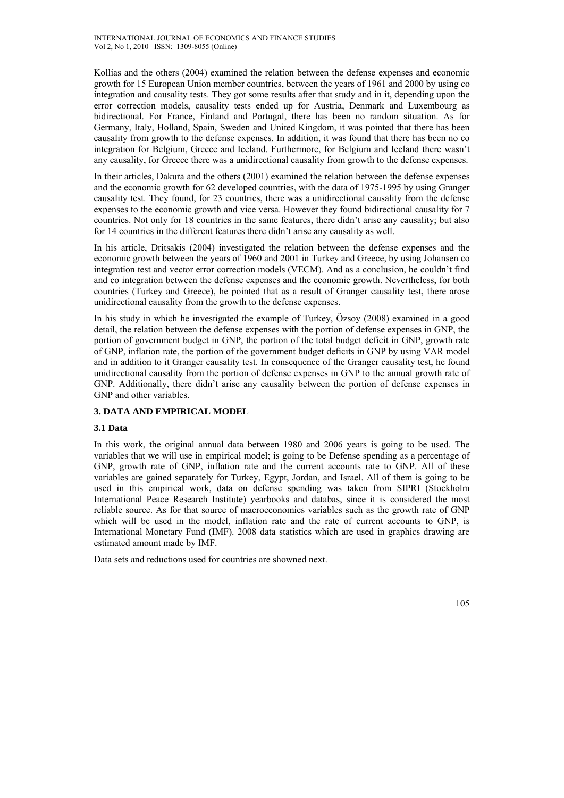Kollias and the others (2004) examined the relation between the defense expenses and economic growth for 15 European Union member countries, between the years of 1961 and 2000 by using co integration and causality tests. They got some results after that study and in it, depending upon the error correction models, causality tests ended up for Austria, Denmark and Luxembourg as bidirectional. For France, Finland and Portugal, there has been no random situation. As for Germany, Italy, Holland, Spain, Sweden and United Kingdom, it was pointed that there has been causality from growth to the defense expenses. In addition, it was found that there has been no co integration for Belgium, Greece and Iceland. Furthermore, for Belgium and Iceland there wasn't any causality, for Greece there was a unidirectional causality from growth to the defense expenses.

In their articles, Dakura and the others (2001) examined the relation between the defense expenses and the economic growth for 62 developed countries, with the data of 1975-1995 by using Granger causality test. They found, for 23 countries, there was a unidirectional causality from the defense expenses to the economic growth and vice versa. However they found bidirectional causality for 7 countries. Not only for 18 countries in the same features, there didn't arise any causality; but also for 14 countries in the different features there didn't arise any causality as well.

In his article, Dritsakis (2004) investigated the relation between the defense expenses and the economic growth between the years of 1960 and 2001 in Turkey and Greece, by using Johansen co integration test and vector error correction models (VECM). And as a conclusion, he couldn't find and co integration between the defense expenses and the economic growth. Nevertheless, for both countries (Turkey and Greece), he pointed that as a result of Granger causality test, there arose unidirectional causality from the growth to the defense expenses.

In his study in which he investigated the example of Turkey, Özsoy (2008) examined in a good detail, the relation between the defense expenses with the portion of defense expenses in GNP, the portion of government budget in GNP, the portion of the total budget deficit in GNP, growth rate of GNP, inflation rate, the portion of the government budget deficits in GNP by using VAR model and in addition to it Granger causality test. In consequence of the Granger causality test, he found unidirectional causality from the portion of defense expenses in GNP to the annual growth rate of GNP. Additionally, there didn't arise any causality between the portion of defense expenses in GNP and other variables.

# **3. DATA AND EMPIRICAL MODEL**

## **3.1 Data**

In this work, the original annual data between 1980 and 2006 years is going to be used. The variables that we will use in empirical model; is going to be Defense spending as a percentage of GNP, growth rate of GNP, inflation rate and the current accounts rate to GNP. All of these variables are gained separately for Turkey, Egypt, Jordan, and Israel. All of them is going to be used in this empirical work, data on defense spending was taken from SIPRI (Stockholm International Peace Research Institute) yearbooks and databas, since it is considered the most reliable source. As for that source of macroeconomics variables such as the growth rate of GNP which will be used in the model, inflation rate and the rate of current accounts to GNP, is International Monetary Fund (IMF). 2008 data statistics which are used in graphics drawing are estimated amount made by IMF.

Data sets and reductions used for countries are showned next.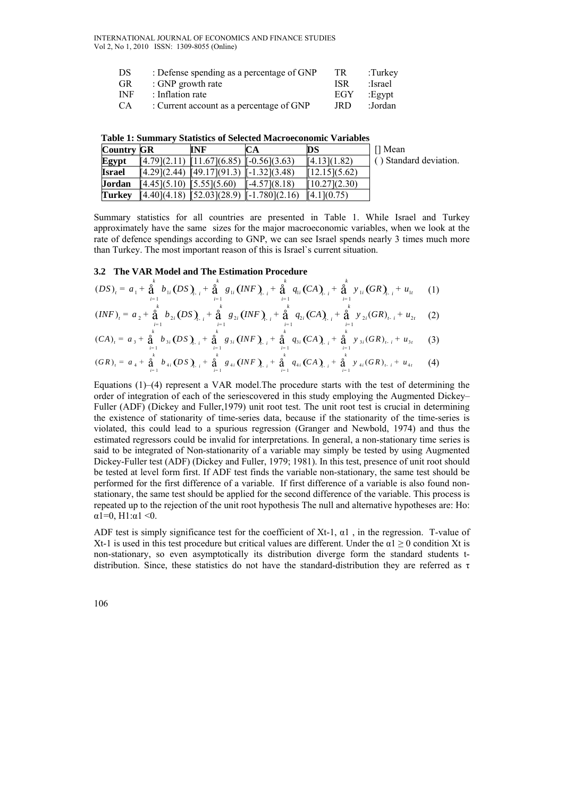INTERNATIONAL JOURNAL OF ECONOMICS AND FINANCE STUDIES Vol 2, No 1, 2010 ISSN: 1309-8055 (Online)

| DS.        | : Defense spending as a percentage of GNP | TR.        | $:$ Turkey: |
|------------|-------------------------------------------|------------|-------------|
| <b>GR</b>  | : GNP growth rate                         | <b>ISR</b> | :Israel     |
| <b>INF</b> | : Inflation rate                          | EGY        | $E$ gypt:   |
| <b>CA</b>  | : Current account as a percentage of GNP  | JRD        | :Jordan     |

|                   | таму т. маницат |                                                |    | - Diatistics of Beneficial macrocomonice variables |                        |
|-------------------|-----------------|------------------------------------------------|----|----------------------------------------------------|------------------------|
| <b>Country GR</b> |                 | INF                                            | CА | DS                                                 | ∏ Mean                 |
| Egypt             |                 | $[4.79](2.11)$ $[11.67](6.85)$ $[-0.56](3.63)$ |    | [4.13](1.82)                                       | () Standard deviation. |
| <b>Israel</b>     |                 | $[4.29](2.44)$ $[49.17](91.3)$ $[-1.32](3.48)$ |    | [12.15](5.62)                                      |                        |

 **Table 1: Summary Statistics of Selected Macroeconomic Variables** 

**Jordan** [4.45](5.10) [5.55](5.60) [-4.57](8.18) [10.27](2.30) **Turkey** [4.40](4.18) [52.03](28.9) [-1.780](2.16) [4.1](0.75)

Summary statistics for all countries are presented in Table 1. While Israel and Turkey approximately have the same sizes for the major macroeconomic variables, when we look at the rate of defence spendings according to GNP, we can see Israel spends nearly 3 times much more than Turkey. The most important reason of this is Israel`s current situation.

#### **3.2 The VAR Model and The Estimation Procedure**

$$
(DS)_t = a_1 + \mathop{\mathbf{a}}\limits_{i=1}^k b_{1i} (DS)_{t-i} + \mathop{\mathbf{a}}\limits_{i=1}^k g_{1i} (INF)_{t-i} + \mathop{\mathbf{a}}\limits_{i=1}^k q_{1i} (CA)_{t-i} + \mathop{\mathbf{a}}\limits_{i=1}^k y_{1i} (GR)_{t-i} + u_{1t} \qquad (1)
$$

$$
(INF)_i = a_2 + \mathop{\mathbf{A}}_{i=1}^6 b_{2i} (DS)_{i,i} + \mathop{\mathbf{A}}_{i=1}^6 g_{2i} (INF)_{i,i} + \mathop{\mathbf{A}}_{i=1}^6 q_{2i} (CA)_{i,i} + \mathop{\mathbf{A}}_{i=1}^6 y_{2i} (GR)_{i,i} + u_{2i} \quad (2)
$$

$$
(CA)_i = a_3 + \frac{a_1}{a_1} b_{3i} (DS)_{i-i} + \frac{a_1}{a_{i-1}} g_{3i} (INF)_{i-i} + \frac{a_1}{a_{i-1}} q_{3i} (CA)_{i-i} + \frac{a_1}{a_{i-1}} y_{3i} (GR)_{i-i} + u_{3i} \qquad (3)
$$

$$
(GR)_t = a_4 + \frac{a}{a_1} b_{4i} (DS)_{t-i} + \frac{a}{a_1} g_{4i} (INF)_{t-i} + \frac{a}{a_1} q_{4i} (CA)_{t-i} + \frac{a}{a_1} y_{4i} (GR)_{t-i} + u_{4t} \qquad (4)
$$

Equations  $(1)$ – $(4)$  represent a VAR model. The procedure starts with the test of determining the order of integration of each of the seriescovered in this study employing the Augmented Dickey– Fuller (ADF) (Dickey and Fuller,1979) unit root test. The unit root test is crucial in determining the existence of stationarity of time-series data, because if the stationarity of the time-series is violated, this could lead to a spurious regression (Granger and Newbold, 1974) and thus the estimated regressors could be invalid for interpretations. In general, a non-stationary time series is said to be integrated of Non-stationarity of a variable may simply be tested by using Augmented Dickey-Fuller test (ADF) (Dickey and Fuller, 1979; 1981). In this test, presence of unit root should be tested at level form first. If ADF test finds the variable non-stationary, the same test should be performed for the first difference of a variable. If first difference of a variable is also found nonstationary, the same test should be applied for the second difference of the variable. This process is repeated up to the rejection of the unit root hypothesis The null and alternative hypotheses are: Ho:  $\alpha$ 1=0, H1: $\alpha$ 1 <0.

ADF test is simply significance test for the coefficient of Xt-1,  $\alpha$ 1, in the regression. T-value of Xt-1 is used in this test procedure but critical values are different. Under the  $\alpha$ 1 ≥ 0 condition Xt is non-stationary, so even asymptotically its distribution diverge form the standard students tdistribution. Since, these statistics do not have the standard-distribution they are referred as  $\tau$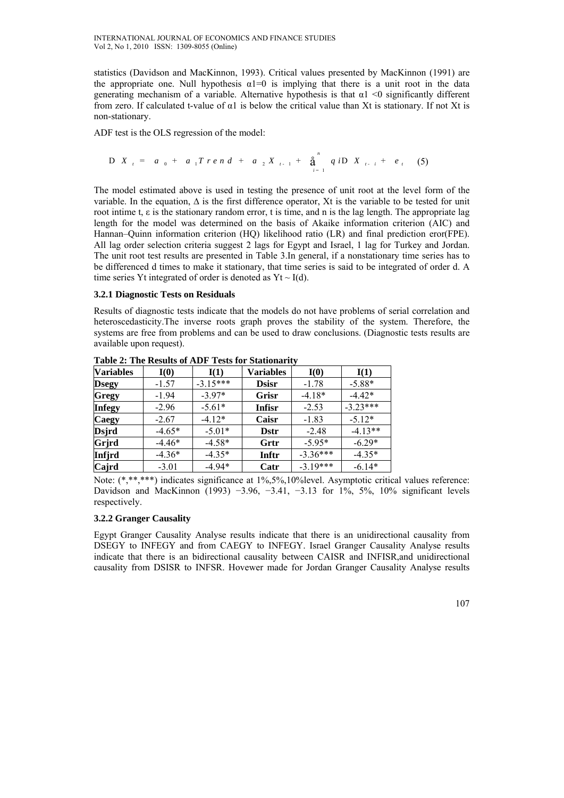statistics (Davidson and MacKinnon, 1993). Critical values presented by MacKinnon (1991) are the appropriate one. Null hypothesis  $\alpha$ 1=0 is implying that there is a unit root in the data generating mechanism of a variable. Alternative hypothesis is that  $\alpha$ 1 <0 significantly different from zero. If calculated t-value of  $\alpha$ 1 is below the critical value than Xt is stationary. If not Xt is non-stationary.

ADF test is the OLS regression of the model:

D X<sub>t</sub> = 
$$
a_0 + a_1 T r e n d + a_2 X_{t-1} + \sum_{i=1}^{n} q i D X_{t-i} + e_t
$$
 (5)

The model estimated above is used in testing the presence of unit root at the level form of the variable. In the equation, ∆ is the first difference operator, Xt is the variable to be tested for unit root intime t, ε is the stationary random error, t is time, and n is the lag length. The appropriate lag length for the model was determined on the basis of Akaike information criterion (AIC) and Hannan–Quinn information criterion (HQ) likelihood ratio (LR) and final prediction eror(FPE). All lag order selection criteria suggest 2 lags for Egypt and Israel, 1 lag for Turkey and Jordan. The unit root test results are presented in Table 3.In general, if a nonstationary time series has to be differenced d times to make it stationary, that time series is said to be integrated of order d. A time series Yt integrated of order is denoted as  $Yt \sim I(d)$ .

### **3.2.1 Diagnostic Tests on Residuals**

Results of diagnostic tests indicate that the models do not have problems of serial correlation and heteroscedasticity.The inverse roots graph proves the stability of the system. Therefore, the systems are free from problems and can be used to draw conclusions. (Diagnostic tests results are available upon request).

| Table 2. The Results of ADT Tests for Buildularity |          |            |                  |            |            |  |  |  |  |  |  |
|----------------------------------------------------|----------|------------|------------------|------------|------------|--|--|--|--|--|--|
| <b>Variables</b>                                   | I(0)     | I(1)       | <b>Variables</b> | I(0)       | I(1)       |  |  |  |  |  |  |
| <b>Dsegy</b>                                       | $-1.57$  | $-3.15***$ | <b>Dsisr</b>     | $-1.78$    | $-5.88*$   |  |  |  |  |  |  |
| <b>Gregy</b>                                       | $-1.94$  | $-3.97*$   | <b>Grisr</b>     | $-4.18*$   | $-4.42*$   |  |  |  |  |  |  |
| <b>Infegy</b>                                      | $-2.96$  | $-5.61*$   | <b>Infisr</b>    | $-2.53$    | $-3.23***$ |  |  |  |  |  |  |
| <b>Caegy</b>                                       | $-2.67$  | $-4.12*$   | Caisr            | $-1.83$    | $-5.12*$   |  |  |  |  |  |  |
| Dsjrd                                              | $-4.65*$ | $-5.01*$   | <b>D</b> str     | $-2.48$    | $-4.13**$  |  |  |  |  |  |  |
| Grjrd                                              | $-4.46*$ | $-4.58*$   | Grtr             | $-5.95*$   | $-6.29*$   |  |  |  |  |  |  |
| Infjrd                                             | $-4.36*$ | $-4.35*$   | Inftr            | $-3.36***$ | $-4.35*$   |  |  |  |  |  |  |
| Cajrd                                              | $-3.01$  | $-4.94*$   | Catr             | $-3.19***$ | $-6.14*$   |  |  |  |  |  |  |

**Table 2: The Results of ADF Tests for Stationarity** 

Note:  $(*, **, ***)$  indicates significance at 1%,5%,10% level. Asymptotic critical values reference: Davidson and MacKinnon (1993) −3.96, −3.41, −3.13 for 1%, 5%, 10% significant levels respectively.

# **3.2.2 Granger Causality**

Egypt Granger Causality Analyse results indicate that there is an unidirectional causality from DSEGY to INFEGY and from CAEGY to INFEGY. Israel Granger Causality Analyse results indicate that there is an bidirectional causality between CAISR and INFISR,and unidirectional causality from DSISR to INFSR. Hovewer made for Jordan Granger Causality Analyse results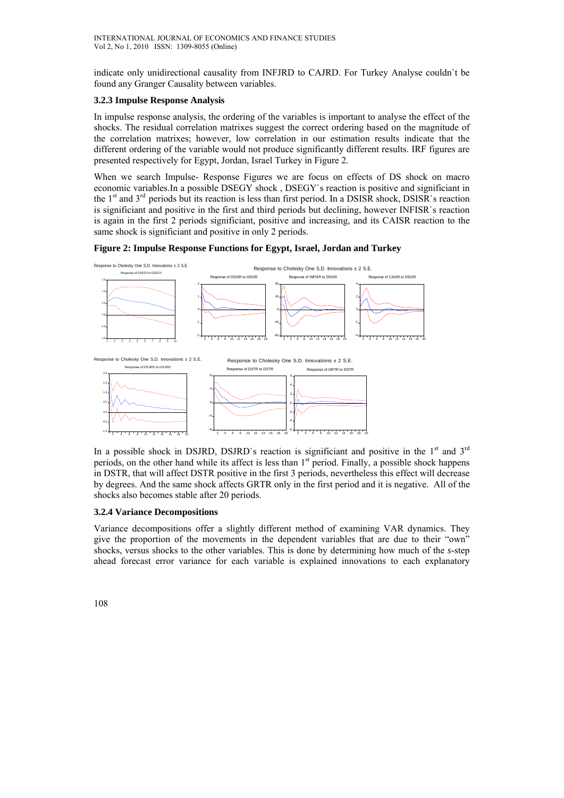indicate only unidirectional causality from INFJRD to CAJRD. For Turkey Analyse couldn`t be found any Granger Causality between variables.

### **3.2.3 Impulse Response Analysis**

In impulse response analysis, the ordering of the variables is important to analyse the effect of the shocks. The residual correlation matrixes suggest the correct ordering based on the magnitude of the correlation matrixes; however, low correlation in our estimation results indicate that the different ordering of the variable would not produce significantly different results. IRF figures are presented respectively for Egypt, Jordan, Israel Turkey in Figure 2.

When we search Impulse- Response Figures we are focus on effects of DS shock on macro economic variables.In a possible DSEGY shock , DSEGY`s reaction is positive and significiant in the 1<sup>st</sup> and 3<sup>rd</sup> periods but its reaction is less than first period. In a DSISR shock, DSISR`s reaction is significiant and positive in the first and third periods but declining, however INFISR`s reaction is again in the first 2 periods significiant, positive and increasing, and its CAISR reaction to the same shock is significiant and positive in only 2 periods.

#### **Figure 2: Impulse Response Functions for Egypt, Israel, Jordan and Turkey**



In a possible shock in DSJRD, DSJRD's reaction is significiant and positive in the  $1<sup>st</sup>$  and  $3<sup>rd</sup>$ periods, on the other hand while its affect is less than  $1<sup>st</sup>$  period. Finally, a possible shock happens in DSTR, that will affect DSTR positive in the first 3 periods, nevertheless this effect will decrease by degrees. And the same shock affects GRTR only in the first period and it is negative. All of the shocks also becomes stable after 20 periods.

#### **3.2.4 Variance Decompositions**

Variance decompositions offer a slightly different method of examining VAR dynamics. They give the proportion of the movements in the dependent variables that are due to their "own" shocks, versus shocks to the other variables. This is done by determining how much of the *s*-step ahead forecast error variance for each variable is explained innovations to each explanatory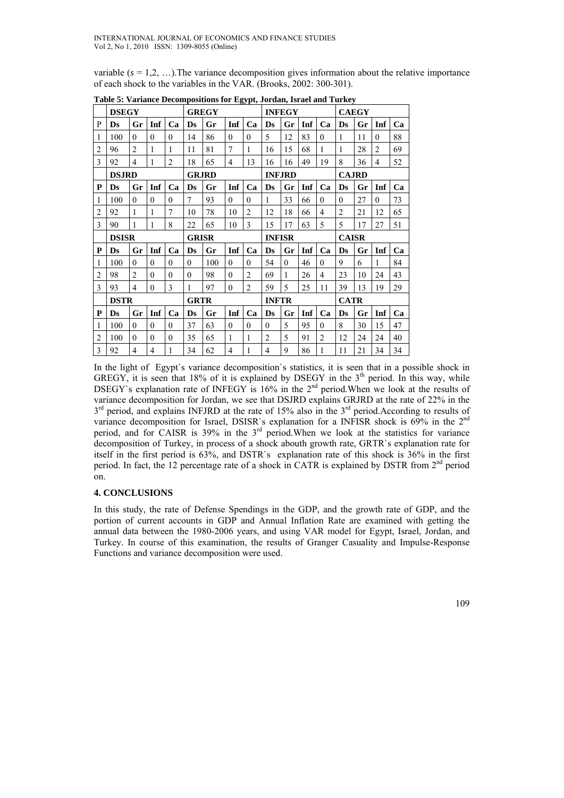variable  $(s = 1,2, \ldots)$ . The variance decomposition gives information about the relative importance of each shock to the variables in the VAR. (Brooks, 2002: 300-301).

|                | <b>DSEGY</b> |                |              |                |              | <b>GREGY</b> |                |                | <b>INFEGY</b>          |          |     |                |                | <b>CAEGY</b> |                |    |  |
|----------------|--------------|----------------|--------------|----------------|--------------|--------------|----------------|----------------|------------------------|----------|-----|----------------|----------------|--------------|----------------|----|--|
| P              | Ds           | Gr             | Inf          | Ca             | Ds           | Gr           | Inf            | Ca             | Ds                     | Gr       | Inf | Ca             | Ds             | Gr           | Inf            | Ca |  |
| 1              | 100          | $\theta$       | $\theta$     | $\theta$       | 14           | 86           | $\theta$       | $\theta$       | 5                      | 12       | 83  | $\mathbf{0}$   | $\mathbf{1}$   | 11           | $\theta$       | 88 |  |
| 2              | 96           | $\overline{2}$ | 1            | 1              | 11           | 81           | 7              | 1              | 16                     | 15       | 68  | 1              | $\mathbf{1}$   | 28           | $\overline{2}$ | 69 |  |
| 3              | 92           | 4              | 1            | $\overline{2}$ | 18           | 65           | $\overline{4}$ | 13             | 16                     | 16       | 49  | 19             | 8              | 36           | 4              | 52 |  |
|                | <b>DSJRD</b> |                |              |                |              | <b>GRJRD</b> |                |                | <b>INFJRD</b>          |          |     | <b>CAJRD</b>   |                |              |                |    |  |
| P              | Ds           | Gr             | Inf          | Ca             | Ds           | Gr           | Inf            | Ca             | $\mathbf{D}\mathbf{s}$ | Gr       | Inf | Ca             | Ds             | Gr           | Inf            | Ca |  |
| 1              | 100          | $\mathbf{0}$   | $\theta$     | $\Omega$       | 7            | 93           | $\theta$       | $\Omega$       | 1                      | 33       | 66  | $\mathbf{0}$   | $\theta$       | 27           | $\theta$       | 73 |  |
| $\overline{2}$ | 92           | 1              | $\mathbf{1}$ | 7              | 10           | 78           | 10             | $\overline{2}$ | 12                     | 18       | 66  | $\overline{4}$ | $\overline{2}$ | 21           | 12             | 65 |  |
| 3              | 90           | 1              | $\mathbf{1}$ | 8              | 22           | 65           | 10             | 3              | 15                     | 17       | 63  | 5              | 5              | 17           | 27             | 51 |  |
|                | <b>DSISR</b> |                |              |                | <b>GRISR</b> |              |                |                | <b>INFISR</b>          |          |     |                | <b>CAISR</b>   |              |                |    |  |
| P              | Ds           | Gr             | Inf          | Ca             | Ds           | Gr           | Inf            | Ca             | Ds                     | Gr       | Inf | Ca             | <b>Ds</b>      | Gr           | Inf            | Ca |  |
| 1              | 100          | $\mathbf{0}$   | $\theta$     | $\theta$       | $\theta$     | 100          | $\theta$       | $\theta$       | 54                     | $\theta$ | 46  | $\theta$       | 9              | 6            | 1              | 84 |  |
| $\overline{c}$ | 98           | $\overline{c}$ | $\mathbf{0}$ | $\Omega$       | $\theta$     | 98           | $\theta$       | $\overline{2}$ | 69                     | 1        | 26  | 4              | 23             | 10           | 24             | 43 |  |
| 3              | 93           | 4              | $\theta$     | 3              | 1            | 97           | $\theta$       | $\overline{2}$ | 59                     | 5        | 25  | 11             | 39             | 13           | 19             | 29 |  |
|                | <b>DSTR</b>  |                |              |                | <b>GRTR</b>  |              |                |                | <b>INFTR</b>           |          |     |                | <b>CATR</b>    |              |                |    |  |
| P              | Ds           | Gr             | Inf          | Ca             | Ds           | Gr           | Inf            | Ca             | Ds                     | Gr       | Inf | Ca             | Ds             | Gr           | Inf            | Ca |  |
| 1              | 100          | $\theta$       | $\theta$     | $\theta$       | 37           | 63           | $\theta$       | $\theta$       | $\theta$               | 5        | 95  | $\theta$       | 8              | 30           | 15             | 47 |  |
|                |              |                |              |                |              |              |                |                |                        |          |     |                |                |              |                |    |  |
| 2              | 100          | $\theta$       | $\theta$     | $\mathbf{0}$   | 35           | 65           | 1              |                | $\overline{c}$         | 5        | 91  | $\overline{c}$ | 12             | 24           | 24             | 40 |  |

**Table 5: Variance Decompositions for Egypt, Jordan, Israel and Turkey** 

In the light of Egypt`s variance decomposition`s statistics, it is seen that in a possible shock in GREGY, it is seen that 18% of it is explained by DSEGY in the  $3<sup>th</sup>$  period. In this way, while DSEGY's explanation rate of INFEGY is  $16\%$  in the  $2<sup>nd</sup>$  period. When we look at the results of variance decomposition for Jordan, we see that DSJRD explains GRJRD at the rate of 22% in the 3<sup>rd</sup> period, and explains INFJRD at the rate of 15% also in the 3<sup>rd</sup> period.According to results of variance decomposition for Israel, DSISR`s explanation for a INFISR shock is 69% in the 2<sup>nd</sup> period, and for CAISR is  $39\%$  in the  $3<sup>rd</sup>$  period. When we look at the statistics for variance decomposition of Turkey, in process of a shock abouth growth rate, GRTR`s explanation rate for itself in the first period is 63%, and DSTR`s explanation rate of this shock is 36% in the first period. In fact, the 12 percentage rate of a shock in CATR is explained by DSTR from  $2<sup>nd</sup>$  period on.

## **4. CONCLUSIONS**

In this study, the rate of Defense Spendings in the GDP, and the growth rate of GDP, and the portion of current accounts in GDP and Annual Inflation Rate are examined with getting the annual data between the 1980-2006 years, and using VAR model for Egypt, Israel, Jordan, and Turkey. In course of this examination, the results of Granger Casuality and Impulse-Response Functions and variance decomposition were used.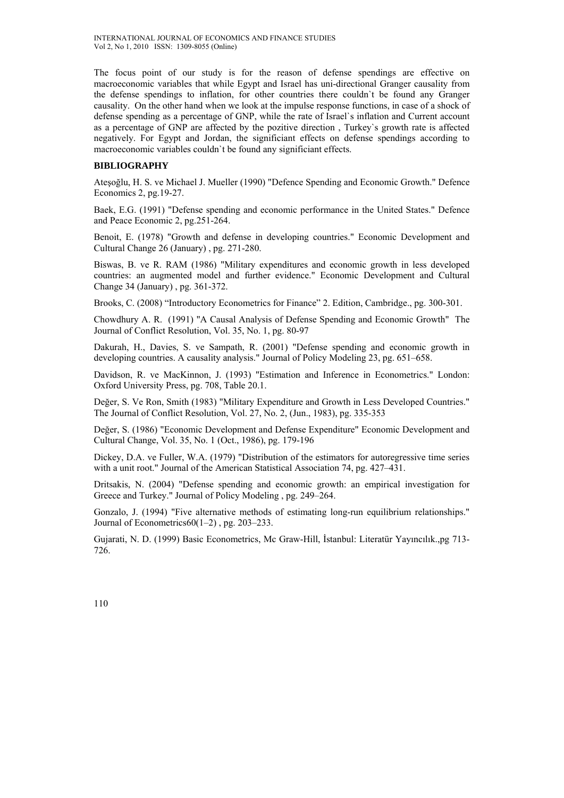The focus point of our study is for the reason of defense spendings are effective on macroeconomic variables that while Egypt and Israel has uni-directional Granger causality from the defense spendings to inflation, for other countries there couldn`t be found any Granger causality. On the other hand when we look at the impulse response functions, in case of a shock of defense spending as a percentage of GNP, while the rate of Israel`s inflation and Current account as a percentage of GNP are affected by the pozitive direction , Turkey`s growth rate is affected negatively. For Egypt and Jordan, the significiant effects on defense spendings according to macroeconomic variables couldn`t be found any significiant effects.

# **BIBLIOGRAPHY**

Ateşoğlu, H. S. ve Michael J. Mueller (1990) "Defence Spending and Economic Growth." Defence Economics 2, pg.19-27.

Baek, E.G. (1991) "Defense spending and economic performance in the United States." Defence and Peace Economic 2, pg.251-264.

Benoit, E. (1978) "Growth and defense in developing countries." Economic Development and Cultural Change 26 (January) , pg. 271-280.

Biswas, B. ve R. RAM (1986) "Military expenditures and economic growth in less developed countries: an augmented model and further evidence." Economic Development and Cultural Change 34 (January) , pg. 361-372.

Brooks, C. (2008) "Introductory Econometrics for Finance" 2. Edition, Cambridge., pg. 300-301.

Chowdhury A. R. (1991) "A Causal Analysis of Defense Spending and Economic Growth" The Journal of Conflict Resolution, Vol. 35, No. 1, pg. 80-97

Dakurah, H., Davies, S. ve Sampath, R. (2001) "Defense spending and economic growth in developing countries. A causality analysis." Journal of Policy Modeling 23, pg. 651–658.

Davidson, R. ve MacKinnon, J. (1993) "Estimation and Inference in Econometrics." London: Oxford University Press, pg. 708, Table 20.1.

Değer, S. Ve Ron, Smith (1983) "Military Expenditure and Growth in Less Developed Countries." The Journal of Conflict Resolution, Vol. 27, No. 2, (Jun., 1983), pg. 335-353

Değer, S. (1986) "Economic Development and Defense Expenditure" Economic Development and Cultural Change, Vol. 35, No. 1 (Oct., 1986), pg. 179-196

Dickey, D.A. ve Fuller, W.A. (1979) "Distribution of the estimators for autoregressive time series with a unit root." Journal of the American Statistical Association 74, pg. 427–431.

Dritsakis, N. (2004) "Defense spending and economic growth: an empirical investigation for Greece and Turkey." Journal of Policy Modeling , pg. 249–264.

Gonzalo, J. (1994) "Five alternative methods of estimating long-run equilibrium relationships." Journal of Econometrics $60(1-2)$ , pg. 203-233.

Gujarati, N. D. (1999) Basic Econometrics, Mc Graw-Hill, İstanbul: Literatür Yayıncılık.,pg 713- 726.